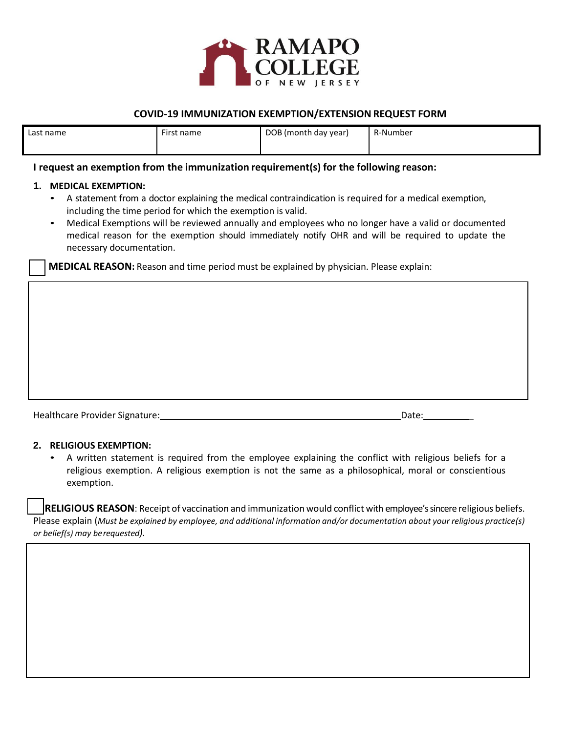

## **COVID-19 IMMUNIZATION EXEMPTION/EXTENSIONREQUEST FORM**

| Last name | First name<br>. | DOB (month day year) | R-Number |
|-----------|-----------------|----------------------|----------|
|           |                 |                      |          |

### **I request an exemption from the immunization requirement(s) for the following reason:**

#### **1. MEDICAL EXEMPTION:**

- A statement from a doctor explaining the medical contraindication is required for a medical exemption, including the time period for which the exemption is valid.
- Medical Exemptions will be reviewed annually and employees who no longer have a valid or documented medical reason for the exemption should immediately notify OHR and will be required to update the necessary documentation.

**MEDICAL REASON:** Reason and time period must be explained by physician. Please explain:

| Healthcare Provider Signature: | Date. |
|--------------------------------|-------|

#### **2. RELIGIOUS EXEMPTION:**

• A written statement is required from the employee explaining the conflict with religious beliefs for a religious exemption. A religious exemption is not the same as a philosophical, moral or conscientious exemption.

**RELIGIOUS REASON**: Receipt of vaccination and immunization would conflict with employee'ssincere religious beliefs. Please explain (Must be explained by employee, and additional information and/or documentation about your religious practice(s) *or belief(s) may berequested).*